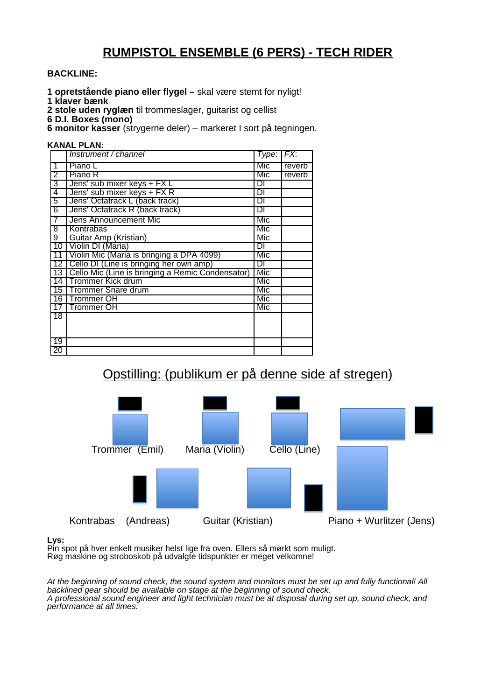## **RUMPISTOL ENSEMBLE (6 PERS) - TECH RIDER**

### **BACKLINE:**

- **1 opretstående piano eller flygel –** skal være stemt for nyligt!
- **1 klaver bænk**
- **2 stole uden ryglæn** til trommeslager, guitarist og cellist
- **6 D.I. Boxes (mono)**

**6 monitor kasser** (strygerne deler) – markeret I sort på tegningen.

#### **KANAL PLAN:**

|                 | Instrument / channel                             | $Type:$ $FX:$ |        |
|-----------------|--------------------------------------------------|---------------|--------|
| 1               | Piano L                                          | Mic           | reverb |
| $\overline{2}$  | Piano R                                          | Mic           | reverb |
| 3               | Jens' sub mixer keys + FX L                      | DI            |        |
| 4               | Jens' sub mixer keys + FX R                      | DI            |        |
| 5               | Jens' Octatrack L (back track)                   | DI            |        |
| $\overline{6}$  | Jens' Octatrack R (back track)                   | DΙ            |        |
| 7               | Jens Announcement Mic                            | Mic           |        |
| 8               | Kontrabas                                        | Mic           |        |
| $9^-$           | Guitar Amp (Kristian)                            | Mic           |        |
|                 | 10 Violin DI (Maria)                             | DI            |        |
|                 | 11 Violin Mic (Maria is bringing a DPA 4099)     | Mic           |        |
|                 | 12   Cello DI (Line is bringing her own amp)     | DI            |        |
| 13              | Cello Mic (Line is bringing a Remic Condensator) | Mic           |        |
|                 | 14   Trommer Kick drum                           | Mic           |        |
|                 | 15   Trommer Snare drum                          | Mic           |        |
|                 | 16 Trommer OH                                    | Mic           |        |
| 17 <sup>1</sup> | Trommer OH                                       | Mic           |        |
| $\overline{18}$ |                                                  |               |        |
|                 |                                                  |               |        |
|                 |                                                  |               |        |
| $\overline{19}$ |                                                  |               |        |
| 20              |                                                  |               |        |

# Opstilling: (publikum er på denne side af stregen)



### **Lys:**

Pin spot på hver enkelt musiker helst lige fra oven. Ellers så mørkt som muligt. Røg maskine og stroboskob på udvalgte tidspunkter er meget velkomne!

At the beginning of sound check, the sound system and monitors must be set up and fully functional! All backlined gear should be available on stage at the beginning of sound check. A professional sound engineer and light technician must be at disposal during set up, sound check, and performance at all times.